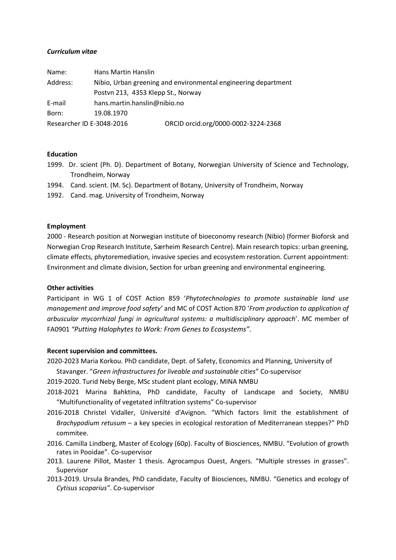## *Curriculum vitae*

| Name:                     | Hans Martin Hanslin                |                                                                |
|---------------------------|------------------------------------|----------------------------------------------------------------|
| Address:                  |                                    | Nibio, Urban greening and environmental engineering department |
|                           | Postvn 213, 4353 Klepp St., Norway |                                                                |
| E-mail                    | hans.martin.hanslin@nibio.no       |                                                                |
| Born:                     | 19.08.1970                         |                                                                |
| Researcher ID E-3048-2016 |                                    | ORCID orcid.org/0000-0002-3224-2368                            |

## **Education**

- 1999. Dr. scient (Ph. D). Department of Botany, Norwegian University of Science and Technology, Trondheim, Norway
- 1994. Cand. scient. (M. Sc). Department of Botany, University of Trondheim, Norway
- 1992. Cand. mag. University of Trondheim, Norway

#### **Employment**

2000 - Research position at Norwegian institute of bioeconomy research (Nibio) (former Bioforsk and Norwegian Crop Research Institute, Særheim Research Centre). Main research topics: urban greening, climate effects, phytoremediation, invasive species and ecosystem restoration. Current appointment: Environment and climate division, Section for urban greening and environmental engineering.

## **Other activities**

Participant in WG 1 of COST Action 859 '*Phytotechnologies to promote sustainable land use management and improve food safety'* and MC of COST Action 870 '*From production to application of arbuscular mycorrhizal fungi in agricultural systems: a multidisciplinary approach*'. MC member of FA0901 *"Putting Halophytes to Work: From Genes to Ecosystems"*.

#### **Recent supervision and committees.**

2020-2023 Maria Korkou. PhD candidate, Dept. of Safety, Economics and Planning, University of

Stavanger. "*Green infrastructures for liveable and sustainable cities*" Co-supervisor

2019-2020. Turid Neby Berge, MSc student plant ecology, MINA NMBU

- 2018-2021 Marina Bahktina, PhD candidate, Faculty of Landscape and Society, NMBU "Multifunctionality of vegetated infiltration systems" Co-supervisor
- 2016-2018 Christel Vidaller, Université d'Avignon. "Which factors limit the establishment of *Brachypodium retusum* – a key species in ecological restoration of Mediterranean steppes?" PhD commitee.
- 2016. Camilla Lindberg, Master of Ecology (60p). Faculty of Biosciences, NMBU. "Evolution of growth rates in Pooidae". Co-supervisor
- 2013. Laurene Pillot, Master 1 thesis. Agrocampus Ouest, Angers. "Multiple stresses in grasses". Supervisor
- 2013-2019. Ursula Brandes, PhD candidate, Faculty of Biosciences, NMBU. "Genetics and ecology of *Cytisus scoparius"*. Co-supervisor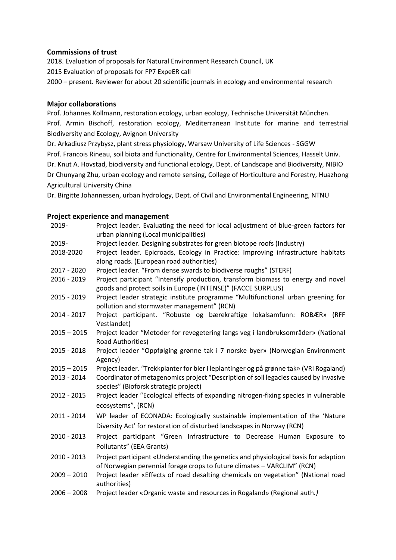# **Commissions of trust**

2018. Evaluation of proposals for Natural Environment Research Council, UK 2015 Evaluation of proposals for FP7 ExpeER call 2000 – present. Reviewer for about 20 scientific journals in ecology and environmental research

# **Major collaborations**

Prof. Johannes Kollmann, restoration ecology, urban ecology, Technische Universität München. Prof. Armin Bischoff, restoration ecology, Mediterranean Institute for marine and terrestrial Biodiversity and Ecology, Avignon University

Dr. Arkadiusz Przybysz, plant stress physiology, Warsaw University of Life Sciences - SGGW Prof. Francois Rineau, soil biota and functionality, Centre for Environmental Sciences, Hasselt Univ. Dr. Knut A. Hovstad, biodiversity and functional ecology, Dept. of Landscape and Biodiversity, NIBIO Dr Chunyang Zhu, urban ecology and remote sensing, College of Horticulture and Forestry, Huazhong Agricultural University China

Dr. Birgitte Johannessen, urban hydrology, Dept. of Civil and Environmental Engineering, NTNU

# **Project experience and management**

| 2019-         | Project leader. Evaluating the need for local adjustment of blue-green factors for<br>urban planning (Local municipalities)                                     |  |  |
|---------------|-----------------------------------------------------------------------------------------------------------------------------------------------------------------|--|--|
|               |                                                                                                                                                                 |  |  |
| 2019-         | Project leader. Designing substrates for green biotope roofs (Industry)                                                                                         |  |  |
| 2018-2020     | Project leader. Epicroads, Ecology in Practice: Improving infrastructure habitats                                                                               |  |  |
|               | along roads. (European road authorities)                                                                                                                        |  |  |
| 2017 - 2020   | Project leader. "From dense swards to biodiverse roughs" (STERF)                                                                                                |  |  |
| 2016 - 2019   | Project participant "Intensify production, transform biomass to energy and novel<br>goods and protect soils in Europe (INTENSE)" (FACCE SURPLUS)                |  |  |
| 2015 - 2019   | Project leader strategic institute programme "Multifunctional urban greening for<br>pollution and stormwater management" (RCN)                                  |  |  |
| 2014 - 2017   | Project participant. "Robuste og bærekraftige lokalsamfunn: ROBÆR» (RFF<br>Vestlandet)                                                                          |  |  |
| $2015 - 2015$ | Project leader "Metoder for revegetering langs veg i landbruksområder» (National<br>Road Authorities)                                                           |  |  |
| 2015 - 2018   | Project leader "Oppfølging grønne tak i 7 norske byer» (Norwegian Environment<br>Agency)                                                                        |  |  |
| $2015 - 2015$ | Project leader. "Trekkplanter for bier i leplantinger og på grønne tak» (VRI Rogaland)                                                                          |  |  |
| 2013 - 2014   | Coordinator of metagenomics project "Description of soil legacies caused by invasive<br>species" (Bioforsk strategic project)                                   |  |  |
| 2012 - 2015   | Project leader "Ecological effects of expanding nitrogen-fixing species in vulnerable                                                                           |  |  |
|               | ecosystems", (RCN)                                                                                                                                              |  |  |
| 2011 - 2014   | WP leader of ECONADA: Ecologically sustainable implementation of the 'Nature                                                                                    |  |  |
|               | Diversity Act' for restoration of disturbed landscapes in Norway (RCN)                                                                                          |  |  |
| 2010 - 2013   | Project participant "Green Infrastructure to Decrease Human Exposure to                                                                                         |  |  |
|               | Pollutants" (EEA Grants)                                                                                                                                        |  |  |
| 2010 - 2013   | Project participant «Understanding the genetics and physiological basis for adaption<br>of Norwegian perennial forage crops to future climates - VARCLIM" (RCN) |  |  |
| $2009 - 2010$ | Project leader «Effects of road desalting chemicals on vegetation" (National road                                                                               |  |  |
|               | authorities)                                                                                                                                                    |  |  |
| 2005 2009     | <b>Droject loader «Organic waste and resources in Pogaland» (Pogional auth.)</b>                                                                                |  |  |

2006 – 2008 Project leader «Organic waste and resources in Rogaland» (Regional auth*.)*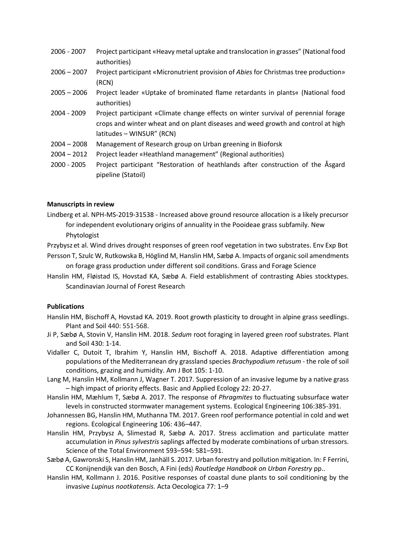- 2006 2007 Project participant «Heavy metal uptake and translocation in grasses" (National food authorities)
- 2006 2007 Project participant «Micronutrient provision of *Abies* for Christmas tree production» (RCN)
- 2005 2006 Project leader «Uptake of brominated flame retardants in plants« (National food authorities)
- 2004 2009 Project participant «Climate change effects on winter survival of perennial forage crops and winter wheat and on plant diseases and weed growth and control at high latitudes – WINSUR" (RCN)
- 2004 2008 Management of Research group on Urban greening in Bioforsk
- 2004 2012 Project leader «Heathland management" (Regional authorities)
- 2000 2005 Project participant "Restoration of heathlands after construction of the Åsgard pipeline (Statoil)

## **Manuscripts in review**

Lindberg et al. NPH-MS-2019-31538 - Increased above ground resource allocation is a likely precursor for independent evolutionary origins of annuality in the Pooideae grass subfamily. New Phytologist

Przybysz et al. Wind drives drought responses of green roof vegetation in two substrates. Env Exp Bot Persson T, Szulc W, Rutkowska B, Höglind M, Hanslin HM, Sæbø A. Impacts of organic soil amendments

- on forage grass production under different soil conditions. Grass and Forage Science
- Hanslin HM, Fløistad IS, Hovstad KA, Sæbø A. Field establishment of contrasting Abies stocktypes. Scandinavian Journal of Forest Research

## **Publications**

- Hanslin HM, Bischoff A, Hovstad KA. 2019. Root growth plasticity to drought in alpine grass seedlings. Plant and Soil 440: 551-568.
- Ji P, Sæbø A, Stovin V, Hanslin HM. 2018. *Sedum* root foraging in layered green roof substrates. Plant and Soil 430: 1-14.
- Vidaller C, Dutoit T, Ibrahim Y, Hanslin HM, Bischoff A. 2018. Adaptive differentiation among populations of the Mediterranean dry grassland species *Brachypodium retusum* - the role of soil conditions, grazing and humidity. Am J Bot 105: 1-10.
- Lang M, Hanslin HM, Kollmann J, Wagner T. 2017. Suppression of an invasive legume by a native grass – high impact of priority effects. Basic and Applied Ecology 22: 20-27.
- Hanslin HM, Mæhlum T, Sæbø A. 2017. The response of *Phragmites* to fluctuating subsurface water levels in constructed stormwater management systems. Ecological Engineering 106:385-391.
- Johannessen BG, Hanslin HM, Muthanna TM. 2017. Green roof performance potential in cold and wet regions. Ecological Engineering 106: 436–447.
- Hanslin HM, Przybysz A, Slimestad R, Sæbø A. 2017. Stress acclimation and particulate matter accumulation in *Pinus sylvestris* saplings affected by moderate combinations of urban stressors. Science of the Total Environment 593–594: 581–591.
- Sæbø A, Gawronski S, Hanslin HM, Janhäll S. 2017. Urban forestry and pollution mitigation. In: F Ferrini, CC Konijnendijk van den Bosch, A Fini (eds) *Routledge Handbook on Urban Forestry* pp..
- Hanslin HM, Kollmann J. 2016. Positive responses of coastal dune plants to soil conditioning by the invasive *Lupinus nootkatensis.* Acta Oecologica 77: 1–9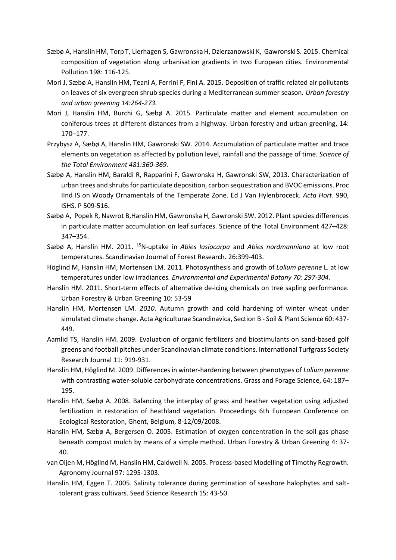- Sæbø A, HanslinHM, TorpT, Lierhagen S, GawronskaH, Dzierzanowski K, Gawronski S. 2015. Chemical composition of vegetation along urbanisation gradients in two European cities. Environmental Pollution 198: 116-125.
- Mori J, Sæbø A, Hanslin HM, Teani A, Ferrini F, Fini A. 2015. Deposition of traffic related air pollutants on leaves of six evergreen shrub species during a Mediterranean summer season*. Urban forestry and urban greening 14:264-273.*
- Mori J, Hanslin HM, Burchi G, Sæbø A. 2015. Particulate matter and element accumulation on coniferous trees at different distances from a highway. Urban forestry and urban greening, 14: 170–177.
- Przybysz A, Sæbø A, Hanslin HM, Gawronski SW. 2014. Accumulation of particulate matter and trace elements on vegetation as affected by pollution level, rainfall and the passage of time*. Science of the Total Environment 481:360-369.*
- Sæbø A, Hanslin HM, Baraldi R, Rapparini F, Gawronska H, Gawronski SW, 2013. Characterization of urban trees and shrubs for particulate deposition, carbon sequestration and BVOC emissions. Proc IInd IS on Woody Ornamentals of the Temperate Zone. Ed J Van Hylenbroceck. *Acta Hort*. 990, ISHS. P 509-516.
- Sæbø A, Popek R, Nawrot B,Hanslin HM, Gawronska H, Gawronski SW. 2012. Plant species differences in particulate matter accumulation on leaf surfaces. Science of the Total Environment 427–428: 347–354.
- Sæbø A, Hanslin HM. 2011. <sup>15</sup>N-uptake in *Abies lasiocarpa* and *Abies nordmanniana* at low root temperatures. Scandinavian Journal of Forest Research. 26:399-403.
- Höglind M, Hanslin HM, Mortensen LM. 2011. Photosynthesis and growth of *Lolium perenne* L. at low temperatures under low irradiances*. Environmental and Experimental Botany 70: 297-304.*
- Hanslin HM. 2011. Short-term effects of alternative de-icing chemicals on tree sapling performance. Urban Forestry & Urban Greening 10: 53-59
- Hanslin HM, Mortensen LM. *2010*. Autumn growth and cold hardening of winter wheat under simulated climate change. Acta Agriculturae Scandinavica, Section B - Soil & Plant Science 60: 437- 449.
- Aamlid TS, Hanslin HM. 2009. Evaluation of organic fertilizers and biostimulants on sand-based golf greens and football pitches under Scandinavian climate conditions. International Turfgrass Society Research Journal 11: 919-931.
- Hanslin HM, Höglind M. 2009. Differences in winter-hardening between phenotypes of *Lolium perenne* with contrasting water-soluble carbohydrate concentrations. Grass and Forage Science, 64: 187– 195.
- Hanslin HM, Sæbø A. 2008. Balancing the interplay of grass and heather vegetation using adjusted fertilization in restoration of heathland vegetation. Proceedings 6th European Conference on Ecological Restoration, Ghent, Belgium, 8-12/09/2008.
- Hanslin HM, Sæbø A, Bergersen O. 2005. Estimation of oxygen concentration in the soil gas phase beneath compost mulch by means of a simple method. Urban Forestry & Urban Greening 4: 37- 40.
- van Oijen M, Höglind M, Hanslin HM, Caldwell N. 2005. Process-based Modelling of Timothy Regrowth. Agronomy Journal 97: 1295-1303.
- Hanslin HM, Eggen T. 2005. Salinity tolerance during germination of seashore halophytes and salttolerant grass cultivars. Seed Science Research 15: 43-50.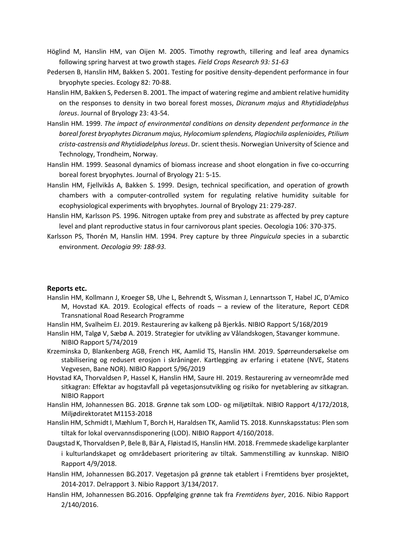- Höglind M, Hanslin HM, van Oijen M. 2005. Timothy regrowth, tillering and leaf area dynamics following spring harvest at two growth stages*. Field Crops Research 93: 51-63*
- Pedersen B, Hanslin HM, Bakken S. 2001. Testing for positive density-dependent performance in four bryophyte species. Ecology 82: 70-88.
- Hanslin HM, Bakken S, Pedersen B. 2001. The impact of watering regime and ambient relative humidity on the responses to density in two boreal forest mosses, *Dicranum majus* and *Rhytidiadelphus loreus*. Journal of Bryology 23: 43-54.
- Hanslin HM. 1999. *The impact of environmental conditions on density dependent performance in the boreal forest bryophytes Dicranum majus, Hylocomium splendens, Plagiochila asplenioides, Ptilium crista-castrensis and Rhytidiadelphus loreus*. Dr. scient thesis. Norwegian University of Science and Technology, Trondheim, Norway.
- Hanslin HM. 1999. Seasonal dynamics of biomass increase and shoot elongation in five co-occurring boreal forest bryophytes. Journal of Bryology 21: 5-15.
- Hanslin HM, Fjellvikås A, Bakken S. 1999. Design, technical specification, and operation of growth chambers with a computer-controlled system for regulating relative humidity suitable for ecophysiological experiments with bryophytes. Journal of Bryology 21: 279-287.
- Hanslin HM, Karlsson PS. 1996. Nitrogen uptake from prey and substrate as affected by prey capture level and plant reproductive status in four carnivorous plant species. Oecologia 106: 370-375.
- Karlsson PS, Thorén M, Hanslin HM. 1994. Prey capture by three *Pinguicula* species in a subarctic environment*. Oecologia 99: 188-93.*

#### **Reports etc.**

- Hanslin HM, Kollmann J, Kroeger SB, Uhe L, Behrendt S, Wissman J, Lennartsson T, Habel JC, D'Amico M, Hovstad KA. 2019. Ecological effects of roads – a review of the literature, Report CEDR Transnational Road Research Programme
- Hanslin HM, Svalheim EJ. 2019. Restaurering av kalkeng på Bjerkås. NIBIO Rapport 5/168/2019
- Hanslin HM, Talgø V, Sæbø A. 2019. Strategier for utvikling av Vålandskogen, Stavanger kommune. NIBIO Rapport 5/74/2019
- Krzeminska D, Blankenberg AGB, French HK, Aamlid TS, Hanslin HM. 2019. Spørreundersøkelse om stabilisering og redusert erosjon i skråninger. Kartlegging av erfaring i etatene (NVE, Statens Vegvesen, Bane NOR). NIBIO Rapport 5/96/2019
- Hovstad KA, Thorvaldsen P, Hassel K, Hanslin HM, Saure HI. 2019. Restaurering av verneområde med sitkagran: Effektar av hogstavfall på vegetasjonsutvikling og risiko for nyetablering av sitkagran. NIBIO Rapport
- Hanslin HM, Johannessen BG. 2018. Grønne tak som LOD- og miljøtiltak. NIBIO Rapport 4/172/2018, Miljødirektoratet M1153-2018
- Hanslin HM, Schmidt I, Mæhlum T, Borch H, Haraldsen TK, Aamlid TS. 2018. Kunnskapsstatus: Plen som tiltak for lokal overvannsdisponering (LOD). NIBIO Rapport 4/160/2018.
- Daugstad K, Thorvaldsen P, Bele B, Bär A, Fløistad IS, Hanslin HM. 2018. Fremmede skadelige karplanter i kulturlandskapet og områdebasert prioritering av tiltak. Sammenstilling av kunnskap. NIBIO Rapport 4/9/2018.
- Hanslin HM, Johannessen BG.2017. Vegetasjon på grønne tak etablert i Fremtidens byer prosjektet, 2014-2017. Delrapport 3. Nibio Rapport 3/134/2017.
- Hanslin HM, Johannessen BG.2016. Oppfølging grønne tak fra *Fremtidens byer*, 2016. Nibio Rapport 2/140/2016.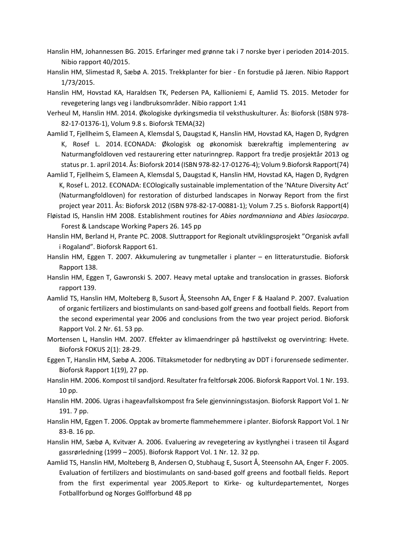- Hanslin HM, Johannessen BG. 2015. Erfaringer med grønne tak i 7 norske byer i perioden 2014-2015. Nibio rapport 40/2015.
- Hanslin HM, Slimestad R, Sæbø A. 2015. Trekkplanter for bier En forstudie på Jæren. Nibio Rapport 1/73/2015.
- Hanslin HM, Hovstad KA, Haraldsen TK, Pedersen PA, Kallioniemi E, Aamlid TS. 2015. Metoder for revegetering langs veg i landbruksområder. Nibio rapport 1:41
- Verheul M, Hanslin HM. 2014. Økologiske dyrkingsmedia til veksthuskulturer. Ås: Bioforsk (ISBN 978- 82-17-01376-1), Volum 9.8 s. Bioforsk TEMA(32)
- Aamlid T, Fjellheim S, Elameen A, Klemsdal S, Daugstad K, Hanslin HM, Hovstad KA, Hagen D, Rydgren K, Rosef L. 2014. ECONADA: Økologisk og økonomisk bærekraftig implementering av Naturmangfoldloven ved restaurering etter naturinngrep. Rapport fra tredje prosjektår 2013 og status pr. 1. april 2014. Ås: Bioforsk 2014 (ISBN 978-82-17-01276-4); Volum 9.Bioforsk Rapport(74)
- Aamlid T, Fjellheim S, Elameen A, Klemsdal S, Daugstad K, Hanslin HM, Hovstad KA, Hagen D, Rydgren K, Rosef L. 2012. ECONADA: ECOlogically sustainable implementation of the 'NAture Diversity Act' (Naturmangfoldloven) for restoration of disturbed landscapes in Norway Report from the first project year 2011. Ås: Bioforsk 2012 (ISBN 978-82-17-00881-1); Volum 7.25 s. Bioforsk Rapport(4)
- [Fløistad IS, Hanslin HM 2008. Establishment routines for](http://intranet.bioforsk.no/ViewPPP.aspx?view=publication&id=11368&viewLanguage=NorwegianBokmaal) *Abies nordmanniana* and *Abies lasiocarpa*. [Forest & Landscape Working Papers 26. 145 pp](http://intranet.bioforsk.no/ViewPPP.aspx?view=publication&id=11368&viewLanguage=NorwegianBokmaal)
- Hanslin HM, Berland H, Prante PC. 2008. Sluttrapport for Regionalt utviklingsprosjekt "Organisk avfall i Rogaland". Bioforsk Rapport 61.
- Hanslin HM, Eggen T. 2007. Akkumulering av tungmetaller i planter en litteraturstudie. Bioforsk Rapport 138.
- Hanslin HM, Eggen T, Gawronski S. 2007. Heavy metal uptake and translocation in grasses. Bioforsk rapport 139.
- Aamlid TS, Hanslin HM, Molteberg B, Susort Å, Steensohn AA, Enger F & Haaland P. 2007. Evaluation of organic fertilizers and biostimulants on sand-based golf greens and football fields. Report from the second experimental year 2006 and conclusions from the two year project period. Bioforsk Rapport Vol. 2 Nr. 61. 53 pp.
- Mortensen L, Hanslin HM. 2007. Effekter av klimaendringer på høsttilvekst og overvintring: Hvete. Bioforsk FOKUS 2(1): 28-29.
- Eggen T, Hanslin HM, Sæbø A. 2006. Tiltaksmetoder for nedbryting av DDT i forurensede sedimenter. Bioforsk Rapport 1(19), 27 pp.
- Hanslin HM. 2006. Kompost til sandjord. Resultater fra feltforsøk 2006. Bioforsk Rapport Vol. 1 Nr. 193. 10 pp.
- Hanslin HM. 2006. Ugras i hageavfallskompost fra Sele gjenvinningsstasjon. Bioforsk Rapport Vol 1. Nr 191. 7 pp.
- Hanslin HM, Eggen T. 2006. Opptak av bromerte flammehemmere i planter. Bioforsk Rapport Vol. 1 Nr 83-B. 16 pp.
- Hanslin HM, Sæbø A, Kvitvær A. 2006. Evaluering av revegetering av kystlynghei i traseen til Åsgard gassrørledning (1999 – 2005). Bioforsk Rapport Vol. 1 Nr. 12. 32 pp.
- Aamlid TS, Hanslin HM, Molteberg B, Andersen O, Stubhaug E, Susort Å, Steensohn AA, Enger F. 2005. Evaluation of fertilizers and biostimulants on sand-based golf greens and football fields. Report from the first experimental year 2005.Report to Kirke- og kulturdepartementet, Norges Fotballforbund og Norges Golfforbund 48 pp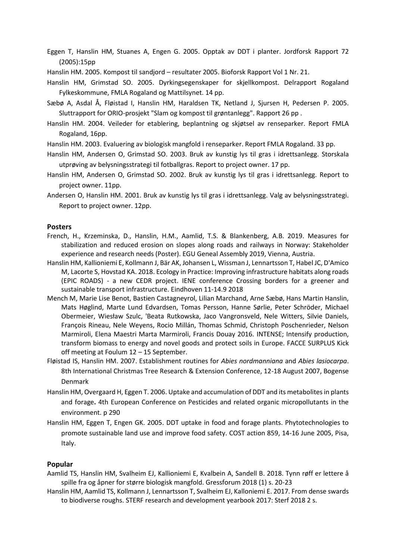Eggen T, Hanslin HM, Stuanes A, Engen [G. 2005. Opptak av DDT i planter. Jordforsk Rapport 72](http://intranet.bioforsk.no/ViewPPP.aspx?view=publication&id=8246&viewLanguage=NorwegianBokmaal)  [\(2005\):15pp](http://intranet.bioforsk.no/ViewPPP.aspx?view=publication&id=8246&viewLanguage=NorwegianBokmaal)

Hanslin HM. 2005. Kompost til sandjord – resultater 2005. Bioforsk Rapport Vol 1 Nr. 21.

- Hanslin HM, Grimstad SO. 2005. Dyrkingsegenskaper for skjellkompost. Delrapport Rogaland Fylkeskommune, FMLA Rogaland og Mattilsynet. 14 pp.
- Sæbø A, Asdal Å, Fløistad I, Hanslin HM, Haraldsen TK, Netland J, Sjursen H, Pedersen P. 2005. Sluttrapport for ORIO-prosjekt "Slam og kompost til grøntanlegg". Rapport 26 pp .
- Hanslin HM. 2004. Veileder for etablering, beplantning og skjøtsel av renseparker. Report FMLA Rogaland, 16pp.
- Hanslin HM. 2003. Evaluering av biologisk mangfold i renseparker. Report FMLA Rogaland. 33 pp.
- Hanslin HM, Andersen O, Grimstad SO. 2003. Bruk av kunstig lys til gras i idrettsanlegg. Storskala utprøving av belysningsstrategi til fotballgras. Report to project owner. 17 pp.
- Hanslin HM, Andersen O, Grimstad SO. 2002. Bruk av kunstig lys til gras i idrettsanlegg. Report to project owner. 11pp.
- Andersen O, Hanslin HM. 2001. Bruk av kunstig lys til gras i idrettsanlegg. Valg av belysningsstrategi. Report to project owner. 12pp.

#### **Poster[s](https://nibio.no/en/employees/hans-martin-hanslin?locationfilter=true#publication--0489b7920-8102-47bc-94bc-e67b90663f33-collapse)**

- [French, H., Krzeminska, D., Hanslin, H.M., Aamlid, T.S. & Blankenberg, A.B. 2019. Measures for](https://nibio.no/en/employees/hans-martin-hanslin?locationfilter=true#publication--0489b7920-8102-47bc-94bc-e67b90663f33-collapse)  [stabilization and reduced erosion on slopes along roads and railways in Norway: Stakeholder](https://nibio.no/en/employees/hans-martin-hanslin?locationfilter=true#publication--0489b7920-8102-47bc-94bc-e67b90663f33-collapse)  [experience and research needs \(Poster\). EGU Geneal](https://nibio.no/en/employees/hans-martin-hanslin?locationfilter=true#publication--0489b7920-8102-47bc-94bc-e67b90663f33-collapse) Assembly 2019, Vienna, Austria.
- Hanslin HM, Kallioniemi E, Kollmann J, Bär AK, Johansen L, Wissman J, Lennartsson T, Habel JC, D'Amico M, Lacorte S, Hovstad KA. 2018. Ecology in Practice: Improving infrastructure habitats along roads (EPIC ROADS) - a new CEDR project. IENE conference Crossing borders for a greener and sustainable transport infrastructure. Eindhoven 11-14.9 2018
- Mench M, Marie Lise Benot, Bastien Castagneyrol, Lilian Marchand, Arne Sæbø, Hans Martin Hanslin, Mats Høglind, Marte Lund Edvardsen, Tomas Persson, Hanne Sørlie, Peter Schröder, Michael Obermeier, Wiesław Szulc, 'Beata Rutkowska, Jaco Vangronsveld, Nele Witters, Silvie Daniels, François Rineau, Nele Weyens, Rocio Millán, Thomas Schmid, Christoph Poschenrieder, Nelson Marmiroli, Elena Maestri Marta Marmiroli, Francis Douay 2016. INTENSE; Intensify production, transform biomass to energy and novel goods and protect soils in Europe. FACCE SURPLUS Kick off meeting at Foulum 12 – 15 September.
- Fløistad IS, Hanslin HM. 2007. Establishment routines for *Abies nordmanniana* and *Abies lasiocarpa*. 8th International Christmas Tree Research & Extension Conference, 12-18 August 2007, Bogense Denmark
- Hanslin HM, Overgaard H, Eggen T. 2006. Uptake and accumulation of DDT and its metabolites in plants and forage**.** [4th European Conference on Pesticides and related organic micropollutants in the](http://intranet.bioforsk.no/ViewPPP.aspx?view=publication&id=9190&viewLanguage=NorwegianBokmaal)  [environment. p](http://intranet.bioforsk.no/ViewPPP.aspx?view=publication&id=9190&viewLanguage=NorwegianBokmaal) 290
- Hanslin HM, Eggen T, Engen GK. 2005. DDT uptake in food and forage plants. Phytotechnologies to promote sustainable land use and improve food safety. COST action 859, 14-16 June 2005, Pisa, Italy.

#### **Popular**

- Aamlid TS, Hanslin HM, Svalheim EJ, Kallioniemi E, Kvalbein A, Sandell B. 2018. Tynn røff er lettere å spille fra og åpner for større biologisk mangfold. Gressforum 2018 (1) s. 20-23
- Hanslin HM, Aamlid TS, Kollmann J, Lennartsson T, Svalheim EJ, Kalloniemi E. 2017. From dense swards to biodiverse roughs. STERF research and development yearbook 2017: Sterf 2018 2 s.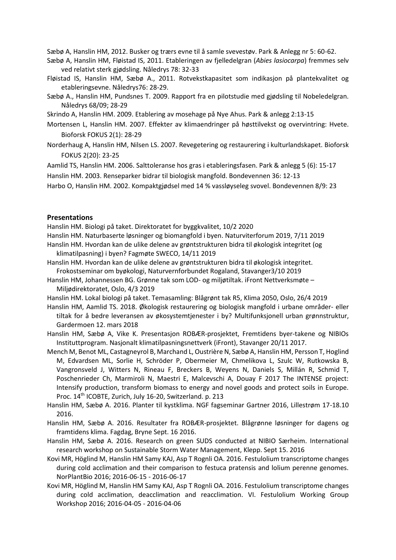Sæbø A, Hanslin HM, 2012. Busker og trærs evne til å samle svevestøv. Park & Anlegg nr 5: 60-62.

- Sæbø A, Hanslin HM, Fløistad IS, 2011. Etableringen av fjelledelgran (*Abies lasiocarpa*) fremmes selv ved relativt sterk gjødsling. Nåledrys 78: 32-33
- Fløistad IS, Hanslin HM, Sæbø A., 2011. Rotvekstkapasitet som indikasjon på plantekvalitet og etableringsevne. Nåledrys76: 28-29.
- Sæbø A., Hanslin HM, Pundsnes T. 2009. Rapport fra en pilotstudie med gjødsling til Nobeledelgran. Nåledrys 68/09; 28-29
- Skrindo A, Hanslin HM. 2009. Etablering av mosehage på Nye Ahus. Park & anlegg 2:13-15
- Mortensen L, Hanslin HM. 2007. Effekter av klimaendringer på høsttilvekst og overvintring: Hvete. Bioforsk FOKUS 2(1): 28-29
- [Norderhaug A, Hanslin HM, Nilsen LS. 2007. Revegetering](http://intranet.bioforsk.no/ViewPPP.aspx?view=publication&id=10355&viewLanguage=NorwegianBokmaal) og restaurering i kulturlandskapet. Bioforsk [FOKUS 2\(20\): 23-25](http://intranet.bioforsk.no/ViewPPP.aspx?view=publication&id=10355&viewLanguage=NorwegianBokmaal)
- [Aamlid TS, Hanslin HM. 2006. Salttoleranse hos gras i etableringsfasen. Park & anlegg 5 \(6\): 15-17](http://intranet.bioforsk.no/ViewPPP.aspx?view=publication&id=8338&viewLanguage=NorwegianBokmaal) Hanslin [HM. 2003. Renseparker bidrar til biologisk mangfold. Bondevennen 36: 12-13](http://intranet.bioforsk.no/ViewPPP.aspx?view=publication&id=2314&viewLanguage=NorwegianBokmaal)

Harbo O, Hanslin HM. 2002. Kompaktgjødsel med 14 [% vassløyseleg svovel. Bondevennen 8/9: 23](http://intranet.bioforsk.no/ViewPPP.aspx?view=publication&id=1314&viewLanguage=NorwegianBokmaal)

## **Presentations**

Hanslin HM. Biologi på taket. Direktoratet for byggkvalitet, 10/2 2020

Hanslin HM. Naturbaserte løsninger og biomangfold i byen. Naturviterforum 2019, 7/11 2019 Hanslin HM. Hvordan kan de ulike delene av grøntstrukturen bidra til økologisk integritet (og klimatilpasning) i byen? Fagmøte SWECO, 14/11 2019

Hanslin HM. Hvordan kan de ulike delene av grøntstrukturen bidra til økologisk integritet. Frokostseminar om byøkologi, Naturvernforbundet Rogaland, Stavanger3/10 2019

Hanslin HM, Johannessen BG. Grønne tak som LOD- og miljøtiltak. iFront Nettverksmøte – Miljødirektoratet, Oslo, 4/3 2019

Hanslin HM. Lokal biologi på taket. Temasamling: Blågrønt tak R5, Klima 2050, Oslo, 26/4 2019

Hanslin HM, Aamlid TS. 2018. Økologisk restaurering og biologisk mangfold i urbane områder- eller tiltak for å bedre leveransen av økosystemtjenester i by? Multifunksjonell urban grønnstruktur, Gardermoen 12. mars 2018

Hanslin HM, Sæbø A, Vike K. Presentasjon ROBÆR‐prosjektet, Fremtidens byer‐takene og NIBIOs Instituttprogram. Nasjonalt klimatilpasningsnettverk (iFront), Stavanger 20/11 2017.

- Mench M, Benot ML, Castagneyrol B, Marchand L, Oustrière N, Sæbø A, Hanslin HM, Persson T, Hoglind M, Edvardsen ML, Sorlie H, Schröder P, Obermeier M, Chmelikova L, Szulc W, Rutkowska B, Vangronsveld J, Witters N, Rineau F, Breckers B, Weyens N, Daniels S, Millán R, Schmid T, Poschenrieder Ch, Marmiroli N, Maestri E, Malcevschi A, Douay F 2017 The INTENSE project: Intensify production, transform biomass to energy and novel goods and protect soils in Europe. Proc. 14<sup>th</sup> ICOBTE, Zurich, July 16-20, Switzerland. p. 213
- Hanslin HM, Sæbø A. 2016. Planter til kystklima. NGF fagseminar Gartner 2016, Lillestrøm 17-18.10 2016.

Hanslin HM, Sæbø A. 2016. Resultater fra ROBÆR-prosjektet. Blågrønne løsninger for dagens og framtidens klima. Fagdag, Bryne Sept. 16 2016.

- Hanslin HM, Sæbø A. 2016. Research on green SUDS conducted at NIBIO Særheim. International research workshop on Sustainable Storm Water Management, Klepp. Sept 15. 2016
- Kovi MR, Höglind M, Hanslin HM Samy KAJ, Asp T Rognli OA. 2016. Festulolium transcriptome changes during cold acclimation and their comparison to festuca pratensis and lolium perenne genomes. NorPlantBio 2016; 2016-06-15 - 2016-06-17
- Kovi MR, Höglind M, Hanslin HM Samy KAJ, Asp T Rognli OA. 2016. Festulolium transcriptome changes during cold acclimation, deacclimation and reacclimation. VI. Festulolium Working Group Workshop 2016; 2016-04-05 - 2016-04-06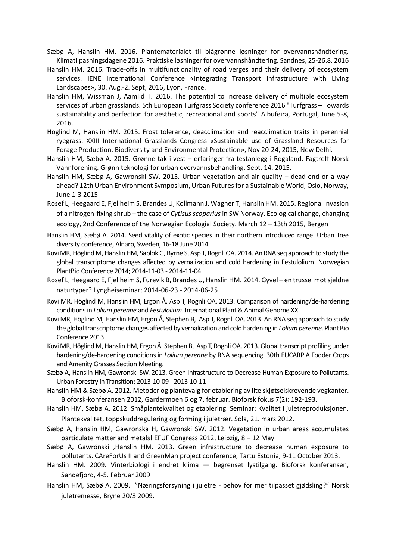- Sæbø A, Hanslin HM. 2016. Plantematerialet til blågrønne løsninger for overvannshåndtering. Klimatilpasningsdagene 2016. Praktiske løsninger for overvannshåndtering. Sandnes, 25-26.8. 2016
- Hanslin HM. 2016. Trade-offs in multifunctionality of road verges and their delivery of ecosystem services. IENE International Conference «Integrating Transport Infrastructure with Living Landscapes», 30. Aug.-2. Sept, 2016, Lyon, France.
- Hanslin HM, Wissman J, Aamlid T. 2016. The potential to increase delivery of multiple ecosystem services of urban grasslands. 5th European Turfgrass Society conference 2016 "Turfgrass – Towards sustainability and perfection for aesthetic, recreational and sports" Albufeira, Portugal, June 5-8, 2016.
- Höglind M, Hanslin HM. 2015. Frost tolerance, deacclimation and reacclimation traits in perennial ryegrass. XXIII International Grasslands Congress «Sustainable use of Grassland Resources for Forage Production, Biodiversity and Environmental Protection», Nov 20-24, 2015, New Delhi.
- Hanslin HM, Sæbø A. 2015. Grønne tak i vest erfaringer fra testanlegg i Rogaland. Fagtreff Norsk Vannforening. Grønn teknologi for urban overvannsbehandling. Sept. 14. 2015.
- Hanslin HM, Sæbø A, Gawronski SW. 2015. Urban vegetation and air quality dead-end or a way ahead? 12th Urban Environment Symposium, Urban Futures for a Sustainable World, Oslo, Norway, June 1-3 2015
- Rosef L, Heegaard E, Fjellheim S, Brandes U, Kollmann J, Wagner T, Hanslin HM. 2015. Regional invasion of a nitrogen-fixing shrub – the case of *Cytisus scoparius* in SW Norway. Ecological change, changing ecology, 2nd Conference of the Norwegian Ecologial Society. March 12 – 13th 2015, Bergen
- Hanslin HM, Sæbø A. 2014. Seed vitality of exotic species in their northern introduced range. Urban Tree diversity conference, Alnarp, Sweden, 16‐18 June 2014.
- Kovi MR, Höglind M, Hanslin HM, Sablok G, Byrne S, Asp T, Rognli OA. 2014.An RNA seq approach to study the global transcriptome changes affected by vernalization and cold hardening in Festulolium. Norwegian PlantBio Conference 2014; 2014‐11‐03 ‐ 2014‐11‐04
- Rosef L, Heegaard E, Fjellheim S, Furevik B, Brandes U, Hanslin HM. 2014. Gyvel en trussel mot sjeldne naturtyper? Lyngheiseminar; 2014-06-23 - 2014-06-25
- Kovi MR, Höglind M, Hanslin HM, Ergon Å, Asp T, Rognli OA. 2013. Comparison of hardening/de‐hardening conditions in *Lolium perenne* and *Festulolium*. International Plant & Animal Genome XXI
- Kovi MR, Höglind M, Hanslin HM, Ergon Å, Stephen B, Asp T, Rognli OA. 2013. An RNA seq approach to study the global transcriptome changes affected by vernalization and cold hardening in *Lolium perenne*. Plant Bio Conference 2013
- Kovi MR, Höglind M, Hanslin HM, Ergon Å, Stephen B, Asp T, Rognli OA. 2013. Global transcript profiling under hardening/de‐hardening conditions in *Lolium perenne* by RNA sequencing. 30th EUCARPIA Fodder Crops and Amenity Grasses Section Meeting.
- Sæbø A, Hanslin HM, Gawronski SW. 2013. Green Infrastructure to Decrease Human Exposure to Pollutants. Urban Forestry in Transition; 2013‐10‐09 ‐ 2013‐10‐11
- Hanslin HM & Sæbø A, 2012. Metoder og plantevalg for etablering av lite skjøtselskrevende vegkanter. Bioforsk-konferansen 2012, Gardermoen 6 og 7. februar. Bioforsk fokus 7(2): 192-193.
- Hanslin HM, Sæbø A. 2012. Småplantekvalitet og etablering. Seminar: Kvalitet i juletreproduksjonen. Plantekvalitet, toppskuddregulering og forming i juletrær. Sola, 21. mars 2012.
- Sæbø A, Hanslin HM, Gawronska H, Gawronski SW. 2012. Vegetation in urban areas accumulates particulate matter and metals! EFUF Congress 2012, Leipzig, 8 – 12 May
- Sæbø A, Gawrónski ,Hanslin HM. 2013. Green infrastructure to decrease human exposure to pollutants. CAreForUs II and GreenMan project conference, Tartu Estonia, 9-11 October 2013.
- Hanslin HM. 2009. Vinterbiologi i endret klima begrenset lystilgang. Bioforsk konferansen, Sandefjord, 4-5. Februar 2009
- Hanslin HM, Sæbø A. 2009. "Næringsforsyning i juletre behov for mer tilpasset gjødsling?" Norsk juletremesse, Bryne 20/3 2009.